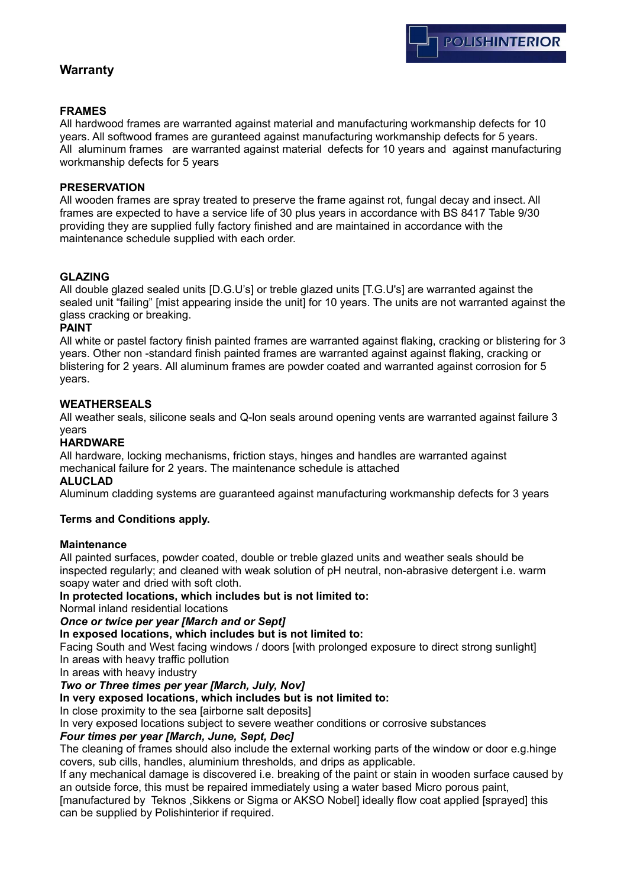# **Warranty**

## **FRAMES**

All hardwood frames are warranted against material and manufacturing workmanship defects for 10 years. All softwood frames are guranteed against manufacturing workmanship defects for 5 years. All aluminum frames are warranted against material defects for 10 years and against manufacturing workmanship defects for 5 years

#### **PRESERVATION**

All wooden frames are spray treated to preserve the frame against rot, fungal decay and insect. All frames are expected to have a service life of 30 plus years in accordance with BS 8417 Table 9/30 providing they are supplied fully factory finished and are maintained in accordance with the maintenance schedule supplied with each order.

## **GLAZING**

All double glazed sealed units [D.G.U's] or treble glazed units [T.G.U's] are warranted against the sealed unit "failing" [mist appearing inside the unit] for 10 years. The units are not warranted against the glass cracking or breaking.

#### **PAINT**

All white or pastel factory finish painted frames are warranted against flaking, cracking or blistering for 3 years. Other non -standard finish painted frames are warranted against against flaking, cracking or blistering for 2 years. All aluminum frames are powder coated and warranted against corrosion for 5 years.

## **WEATHERSEALS**

All weather seals, silicone seals and Q-lon seals around opening vents are warranted against failure 3 years

#### **HARDWARE**

All hardware, locking mechanisms, friction stays, hinges and handles are warranted against mechanical failure for 2 years. The maintenance schedule is attached

## **ALUCLAD**

Aluminum cladding systems are guaranteed against manufacturing workmanship defects for 3 years

#### **Terms and Conditions apply.**

#### **Maintenance**

All painted surfaces, powder coated, double or treble glazed units and weather seals should be inspected regularly; and cleaned with weak solution of pH neutral, non-abrasive detergent i.e. warm soapy water and dried with soft cloth.

#### **In protected locations, which includes but is not limited to:**

Normal inland residential locations

#### *Once or twice per year [March and or Sept]*

**In exposed locations, which includes but is not limited to:**

Facing South and West facing windows / doors [with prolonged exposure to direct strong sunlight] In areas with heavy traffic pollution

In areas with heavy industry

## *Two or Three times per year [March, July, Nov]*

**In very exposed locations, which includes but is not limited to:**

In close proximity to the sea [airborne salt deposits]

In very exposed locations subject to severe weather conditions or corrosive substances

#### *Four times per year [March, June, Sept, Dec]*

The cleaning of frames should also include the external working parts of the window or door e.g.hinge covers, sub cills, handles, aluminium thresholds, and drips as applicable.

If any mechanical damage is discovered i.e. breaking of the paint or stain in wooden surface caused by an outside force, this must be repaired immediately using a water based Micro porous paint,

[manufactured by Teknos ,Sikkens or Sigma or AKSO Nobel] ideally flow coat applied [sprayed] this can be supplied by Polishinterior if required.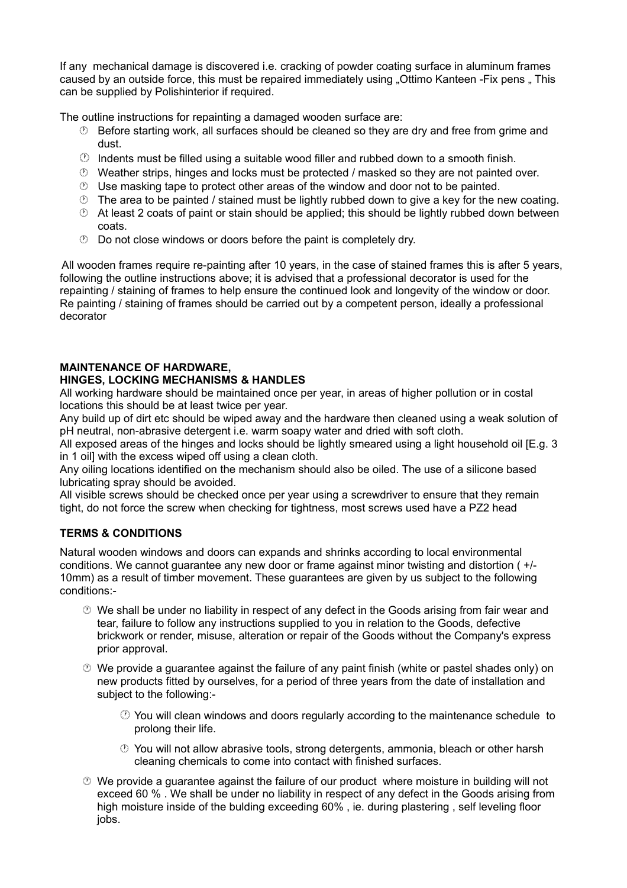If any mechanical damage is discovered i.e. cracking of powder coating surface in aluminum frames caused by an outside force, this must be repaired immediately using "Ottimo Kanteen -Fix pens". This can be supplied by Polishinterior if required.

The outline instructions for repainting a damaged wooden surface are:

- $\heartsuit$  Before starting work, all surfaces should be cleaned so they are dry and free from grime and dust.
- $\circled{1}$  Indents must be filled using a suitable wood filler and rubbed down to a smooth finish.
- $\heartsuit$  Weather strips, hinges and locks must be protected / masked so they are not painted over.
- $\heartsuit$  Use masking tape to protect other areas of the window and door not to be painted.
- $\circled{2}$  The area to be painted / stained must be lightly rubbed down to give a key for the new coating.
- $\heartsuit$  At least 2 coats of paint or stain should be applied; this should be lightly rubbed down between coats.
- $\circledcirc$  Do not close windows or doors before the paint is completely dry.

 All wooden frames require re-painting after 10 years, in the case of stained frames this is after 5 years, following the outline instructions above; it is advised that a professional decorator is used for the repainting / staining of frames to help ensure the continued look and longevity of the window or door. Re painting / staining of frames should be carried out by a competent person, ideally a professional decorator

## **MAINTENANCE OF HARDWARE,**

## **HINGES, LOCKING MECHANISMS & HANDLES**

All working hardware should be maintained once per year, in areas of higher pollution or in costal locations this should be at least twice per year.

Any build up of dirt etc should be wiped away and the hardware then cleaned using a weak solution of pH neutral, non-abrasive detergent i.e. warm soapy water and dried with soft cloth.

All exposed areas of the hinges and locks should be lightly smeared using a light household oil [E.g. 3 in 1 oil] with the excess wiped off using a clean cloth.

Any oiling locations identified on the mechanism should also be oiled. The use of a silicone based lubricating spray should be avoided.

All visible screws should be checked once per year using a screwdriver to ensure that they remain tight, do not force the screw when checking for tightness, most screws used have a PZ2 head

## **TERMS & CONDITIONS**

Natural wooden windows and doors can expands and shrinks according to local environmental conditions. We cannot guarantee any new door or frame against minor twisting and distortion ( +/- 10mm) as a result of timber movement. These guarantees are given by us subject to the following conditions:-

- $\heartsuit$  We shall be under no liability in respect of any defect in the Goods arising from fair wear and tear, failure to follow any instructions supplied to you in relation to the Goods, defective brickwork or render, misuse, alteration or repair of the Goods without the Company's express prior approval.
- $\heartsuit$  We provide a quarantee against the failure of any paint finish (white or pastel shades only) on new products fitted by ourselves, for a period of three years from the date of installation and subject to the following:-
	- $\heartsuit$  You will clean windows and doors regularly according to the maintenance schedule to prolong their life.
	- $\heartsuit$  You will not allow abrasive tools, strong detergents, ammonia, bleach or other harsh cleaning chemicals to come into contact with finished surfaces.
- $\heartsuit$  We provide a guarantee against the failure of our product where moisture in building will not exceed 60 % . We shall be under no liability in respect of any defect in the Goods arising from high moisture inside of the bulding exceeding 60% , ie. during plastering , self leveling floor jobs.